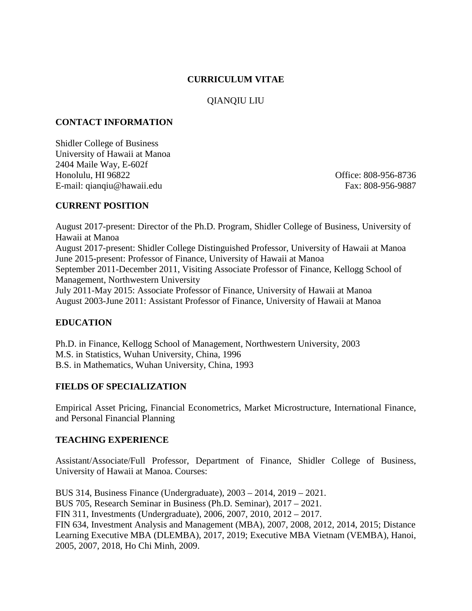### **CURRICULUM VITAE**

# QIANQIU LIU

### **CONTACT INFORMATION**

Shidler College of Business University of Hawaii at Manoa 2404 Maile Way, E-602f Honolulu, HI 96822 Office: 808-956-8736 E-mail: qianqiu@hawaii.edu Fax: 808-956-9887

## **CURRENT POSITION**

August 2017-present: Director of the Ph.D. Program, Shidler College of Business, University of Hawaii at Manoa August 2017-present: Shidler College Distinguished Professor, University of Hawaii at Manoa June 2015-present: Professor of Finance, University of Hawaii at Manoa September 2011-December 2011, Visiting Associate Professor of Finance, Kellogg School of Management, Northwestern University July 2011-May 2015: Associate Professor of Finance, University of Hawaii at Manoa August 2003-June 2011: Assistant Professor of Finance, University of Hawaii at Manoa

## **EDUCATION**

Ph.D. in Finance, Kellogg School of Management, Northwestern University, 2003 M.S. in Statistics, Wuhan University, China, 1996 B.S. in Mathematics, Wuhan University, China, 1993

## **FIELDS OF SPECIALIZATION**

Empirical Asset Pricing, Financial Econometrics, Market Microstructure, International Finance, and Personal Financial Planning

#### **TEACHING EXPERIENCE**

Assistant/Associate/Full Professor, Department of Finance, Shidler College of Business, University of Hawaii at Manoa. Courses:

BUS 314, Business Finance (Undergraduate), 2003 – 2014, 2019 – 2021. BUS 705, Research Seminar in Business (Ph.D. Seminar), 2017 – 2021. FIN 311, Investments (Undergraduate), 2006, 2007, 2010, 2012 – 2017. FIN 634, Investment Analysis and Management (MBA), 2007, 2008, 2012, 2014, 2015; Distance Learning Executive MBA (DLEMBA), 2017, 2019; Executive MBA Vietnam (VEMBA), Hanoi, 2005, 2007, 2018, Ho Chi Minh, 2009.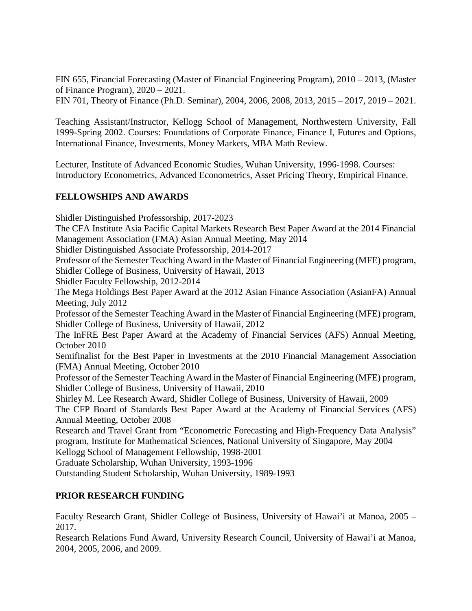FIN 655, Financial Forecasting (Master of Financial Engineering Program), 2010 – 2013, (Master of Finance Program), 2020 – 2021.

FIN 701, Theory of Finance (Ph.D. Seminar), 2004, 2006, 2008, 2013, 2015 – 2017, 2019 – 2021.

Teaching Assistant/Instructor, Kellogg School of Management, Northwestern University, Fall 1999-Spring 2002. Courses: Foundations of Corporate Finance, Finance I, Futures and Options, International Finance, Investments, Money Markets, MBA Math Review.

Lecturer, Institute of Advanced Economic Studies, Wuhan University, 1996-1998. Courses: Introductory Econometrics, Advanced Econometrics, Asset Pricing Theory, Empirical Finance.

### **FELLOWSHIPS AND AWARDS**

Shidler Distinguished Professorship, 2017-2023 The CFA Institute Asia Pacific Capital Markets Research Best Paper Award at the 2014 Financial Management Association (FMA) Asian Annual Meeting, May 2014 Shidler Distinguished Associate Professorship, 2014-2017 Professor of the Semester Teaching Award in the Master of Financial Engineering (MFE) program, Shidler College of Business, University of Hawaii, 2013 Shidler Faculty Fellowship, 2012-2014 The Mega Holdings Best Paper Award at the 2012 Asian Finance Association (AsianFA) Annual Meeting, July 2012 Professor of the Semester Teaching Award in the Master of Financial Engineering (MFE) program, Shidler College of Business, University of Hawaii, 2012 The InFRE Best Paper Award at the Academy of Financial Services (AFS) Annual Meeting, October 2010 Semifinalist for the Best Paper in Investments at the 2010 Financial Management Association (FMA) Annual Meeting, October 2010 Professor of the Semester Teaching Award in the Master of Financial Engineering (MFE) program, Shidler College of Business, University of Hawaii, 2010 Shirley M. Lee Research Award, Shidler College of Business, University of Hawaii, 2009 The CFP Board of Standards Best Paper Award at the Academy of Financial Services (AFS) Annual Meeting, October 2008 Research and Travel Grant from "Econometric Forecasting and High-Frequency Data Analysis" program, Institute for Mathematical Sciences, National University of Singapore, May 2004 Kellogg School of Management Fellowship, 1998-2001 Graduate Scholarship, Wuhan University, 1993-1996 Outstanding Student Scholarship, Wuhan University, 1989-1993

## **PRIOR RESEARCH FUNDING**

Faculty Research Grant, Shidler College of Business, University of Hawai'i at Manoa, 2005 – 2017.

Research Relations Fund Award, University Research Council, University of Hawai'i at Manoa, 2004, 2005, 2006, and 2009.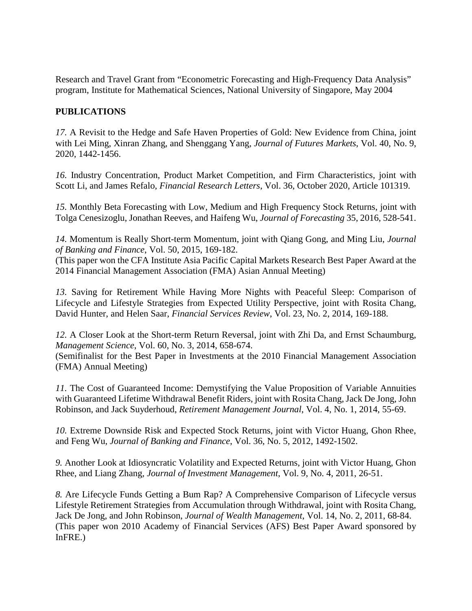Research and Travel Grant from "Econometric Forecasting and High-Frequency Data Analysis" program, Institute for Mathematical Sciences, National University of Singapore, May 2004

### **PUBLICATIONS**

*17.* A Revisit to the Hedge and Safe Haven Properties of Gold: New Evidence from China, joint with Lei Ming, Xinran Zhang, and Shenggang Yang, *Journal of Futures Markets*, Vol. 40, No. 9, 2020, 1442-1456.

*16.* Industry Concentration, Product Market Competition, and Firm Characteristics, joint with Scott Li, and James Refalo, *Financial Research Letters*, Vol. 36, October 2020, Article 101319.

*15.* Monthly Beta Forecasting with Low, Medium and High Frequency Stock Returns, joint with [Tolga Cenesizoglu,](mailto:tolga.cenesizoglu@hec.ca) Jonathan Reeves, and Haifeng Wu, *Journal of Forecasting* 35, 2016, 528-541.

*14.* Momentum is Really Short-term Momentum, joint with Qiang Gong, and Ming Liu, *Journal of Banking and Finance*, Vol. 50, 2015, 169-182.

(This paper won the CFA Institute Asia Pacific Capital Markets Research Best Paper Award at the 2014 Financial Management Association (FMA) Asian Annual Meeting)

*13.* Saving for Retirement While Having More Nights with Peaceful Sleep: Comparison of Lifecycle and Lifestyle Strategies from Expected Utility Perspective, joint with Rosita Chang, David Hunter, and Helen Saar, *Financial Services Review*, Vol. 23, No. 2, 2014, 169-188.

*12.* A Closer Look at the Short-term Return Reversal, joint with Zhi Da, and Ernst Schaumburg, *Management Science*, Vol. 60, No. 3, 2014, 658-674.

(Semifinalist for the Best Paper in Investments at the 2010 Financial Management Association (FMA) Annual Meeting)

*11.* The Cost of Guaranteed Income: Demystifying the Value Proposition of Variable Annuities with Guaranteed Lifetime Withdrawal Benefit Riders, joint with Rosita Chang, Jack De Jong, John Robinson, and Jack Suyderhoud, *Retirement Management Journal*, Vol. 4, No. 1, 2014, 55-69.

10. Extreme Downside Risk and Expected Stock Returns, joint with Victor Huang, Ghon Rhee, and Feng Wu, *Journal of Banking and Finance*, Vol. 36, No. 5, 2012, 1492-1502.

*9.* Another Look at Idiosyncratic Volatility and Expected Returns, joint with Victor Huang, Ghon Rhee, and Liang Zhang, *Journal of Investment Management*, Vol. 9, No. 4, 2011, 26-51.

*8.* Are Lifecycle Funds Getting a Bum Rap? A Comprehensive Comparison of Lifecycle versus Lifestyle Retirement Strategies from Accumulation through Withdrawal, joint with Rosita Chang, Jack De Jong, and John Robinson, *Journal of Wealth Management*, Vol. 14, No. 2, 2011, 68-84. (This paper won 2010 Academy of Financial Services (AFS) Best Paper Award sponsored by InFRE.)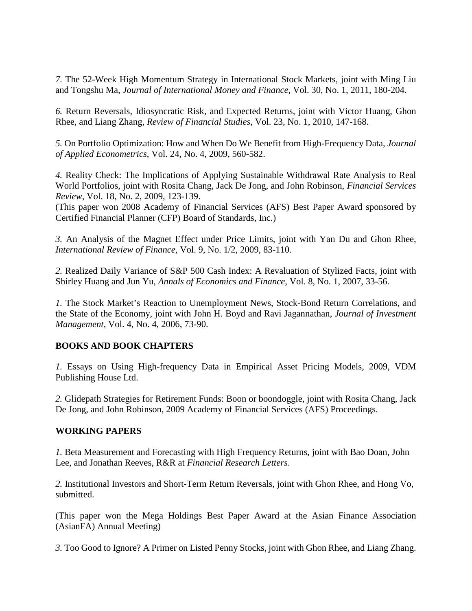*7.* The 52-Week High Momentum Strategy in International Stock Markets, joint with Ming Liu and Tongshu Ma, *Journal of International Money and Finance*, Vol. 30, No. 1, 2011, 180-204.

*6.* Return Reversals, Idiosyncratic Risk, and Expected Returns, joint with Victor Huang, Ghon Rhee, and Liang Zhang, *Review of Financial Studies*, Vol. 23, No. 1, 2010, 147-168.

*5.* On Portfolio Optimization: How and When Do We Benefit from High-Frequency Data, *Journal of Applied Econometrics*, Vol. 24, No. 4, 2009, 560-582.

*4.* Reality Check: The Implications of Applying Sustainable Withdrawal Rate Analysis to Real World Portfolios, joint with Rosita Chang, Jack De Jong, and John Robinson, *Financial Services Review*, Vol. 18, No. 2, 2009, 123-139.

(This paper won 2008 Academy of Financial Services (AFS) Best Paper Award sponsored by Certified Financial Planner (CFP) Board of Standards, Inc.)

*3.* An Analysis of the Magnet Effect under Price Limits, joint with Yan Du and Ghon Rhee, *International Review of Finance*, Vol. 9, No. 1/2, 2009, 83-110.

*2.* Realized Daily Variance of S&P 500 Cash Index: A Revaluation of Stylized Facts, joint with Shirley Huang and Jun Yu, *Annals of Economics and Finance*, Vol. 8, No. 1, 2007, 33-56.

*1.* The Stock Market's Reaction to Unemployment News, Stock-Bond Return Correlations, and the State of the Economy, joint with John H. Boyd and Ravi Jagannathan, *Journal of Investment Management*, Vol. 4, No. 4, 2006, 73-90.

## **BOOKS AND BOOK CHAPTERS**

*1.* Essays on Using High-frequency Data in Empirical Asset Pricing Models, 2009, VDM Publishing House Ltd.

*2.* Glidepath Strategies for Retirement Funds: Boon or boondoggle, joint with Rosita Chang, Jack De Jong, and John Robinson, 2009 Academy of Financial Services (AFS) Proceedings.

#### **WORKING PAPERS**

*1.* Beta Measurement and Forecasting with High Frequency Returns, joint with Bao Doan, John Lee, and Jonathan Reeves, R&R at *Financial Research Letters*.

*2.* Institutional Investors and Short-Term Return Reversals, joint with Ghon Rhee, and Hong Vo, submitted.

(This paper won the Mega Holdings Best Paper Award at the Asian Finance Association (AsianFA) Annual Meeting)

*3.* Too Good to Ignore? A Primer on Listed Penny Stocks, joint with Ghon Rhee, and Liang Zhang.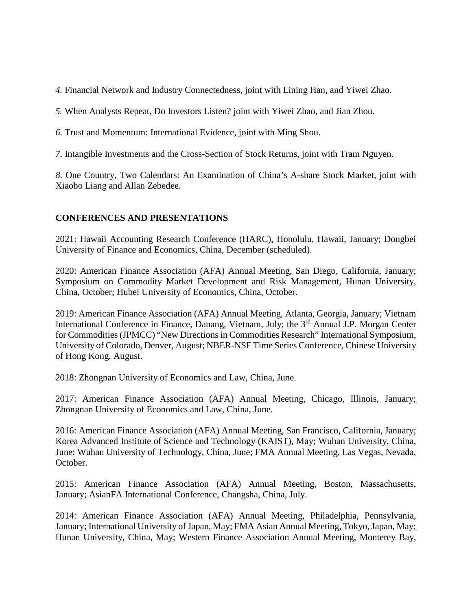*4.* Financial Network and Industry Connectedness, joint with Lining Han, and Yiwei Zhao.

*5.* When Analysts Repeat, Do Investors Listen? joint with Yiwei Zhao, and Jian Zhou.

*6.* Trust and Momentum: International Evidence, joint with Ming Shou.

*7*. Intangible Investments and the Cross-Section of Stock Returns, joint with Tram Nguyen.

*8*. One Country, Two Calendars: An Examination of China's A-share Stock Market, joint with Xiaobo Liang and Allan Zebedee.

### **CONFERENCES AND PRESENTATIONS**

2021: Hawaii Accounting Research Conference (HARC), Honolulu, Hawaii, January; Dongbei University of Finance and Economics, China, December (scheduled).

2020: American Finance Association (AFA) Annual Meeting, San Diego, California, January; Symposium on Commodity Market Development and Risk Management, Hunan University, China, October; Hubei University of Economics, China, October.

2019: American Finance Association (AFA) Annual Meeting, Atlanta, Georgia, January; Vietnam International Conference in Finance, Danang, Vietnam, July; the 3<sup>rd</sup> Annual J.P. Morgan Center for Commodities (JPMCC) "New Directions in Commodities Research" International Symposium, University of Colorado, Denver, August; NBER-NSF Time Series Conference, Chinese University of Hong Kong, August.

2018: Zhongnan University of Economics and Law, China, June.

2017: American Finance Association (AFA) Annual Meeting, Chicago, Illinois, January; Zhongnan University of Economics and Law, China, June.

2016: American Finance Association (AFA) Annual Meeting, San Francisco, California, January; Korea Advanced Institute of Science and Technology (KAIST), May; Wuhan University, China, June; Wuhan University of Technology, China, June; FMA Annual Meeting, Las Vegas, Nevada, October.

2015: American Finance Association (AFA) Annual Meeting, Boston, Massachusetts, January; AsianFA International Conference, Changsha, China, July.

2014: American Finance Association (AFA) Annual Meeting, Philadelphia, Pennsylvania, January; International University of Japan, May; FMA Asian Annual Meeting, Tokyo, Japan, May; Hunan University, China, May; Western Finance Association Annual Meeting, Monterey Bay,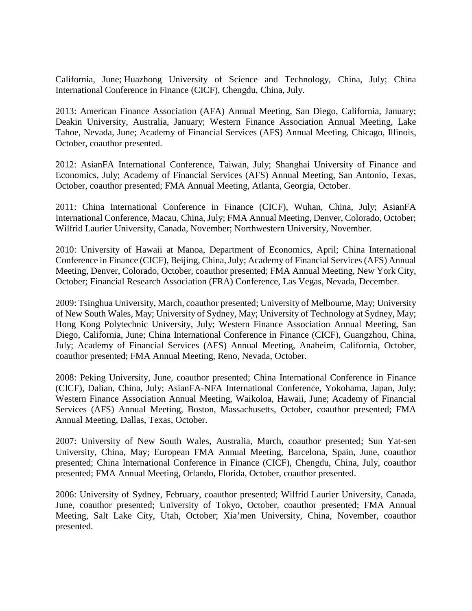California, June; Huazhong University of Science and Technology, China, July; China International Conference in Finance (CICF), Chengdu, China, July.

2013: American Finance Association (AFA) Annual Meeting, San Diego, California, January; Deakin University, Australia, January; Western Finance Association Annual Meeting, Lake Tahoe, Nevada, June; Academy of Financial Services (AFS) Annual Meeting, Chicago, Illinois, October, coauthor presented.

2012: AsianFA International Conference, Taiwan, July; Shanghai University of Finance and Economics, July; Academy of Financial Services (AFS) Annual Meeting, San Antonio, Texas, October, coauthor presented; FMA Annual Meeting, Atlanta, Georgia, October.

2011: China International Conference in Finance (CICF), Wuhan, China, July; AsianFA International Conference, Macau, China, July; FMA Annual Meeting, Denver, Colorado, October; Wilfrid Laurier University, Canada, November; Northwestern University, November.

2010: University of Hawaii at Manoa, Department of Economics, April; China International Conference in Finance (CICF), Beijing, China, July; Academy of Financial Services (AFS) Annual Meeting, Denver, Colorado, October, coauthor presented; FMA Annual Meeting, New York City, October; Financial Research Association (FRA) Conference, Las Vegas, Nevada, December.

2009: Tsinghua University, March, coauthor presented; University of Melbourne, May; University of New South Wales, May; University of Sydney, May; University of Technology at Sydney, May; Hong Kong Polytechnic University, July; Western Finance Association Annual Meeting, San Diego, California, June; China International Conference in Finance (CICF), Guangzhou, China, July; Academy of Financial Services (AFS) Annual Meeting, Anaheim, California, October, coauthor presented; FMA Annual Meeting, Reno, Nevada, October.

2008: Peking University, June, coauthor presented; China International Conference in Finance (CICF), Dalian, China, July; AsianFA-NFA International Conference, Yokohama, Japan, July; Western Finance Association Annual Meeting, Waikoloa, Hawaii, June; Academy of Financial Services (AFS) Annual Meeting, Boston, Massachusetts, October, coauthor presented; FMA Annual Meeting, Dallas, Texas, October.

2007: University of New South Wales, Australia, March, coauthor presented; Sun Yat-sen University, China, May; European FMA Annual Meeting, Barcelona, Spain, June, coauthor presented; China International Conference in Finance (CICF), Chengdu, China, July, coauthor presented; FMA Annual Meeting, Orlando, Florida, October, coauthor presented.

2006: University of Sydney, February, coauthor presented; Wilfrid Laurier University, Canada, June, coauthor presented; University of Tokyo, October, coauthor presented; FMA Annual Meeting, Salt Lake City, Utah, October; Xia'men University, China, November, coauthor presented.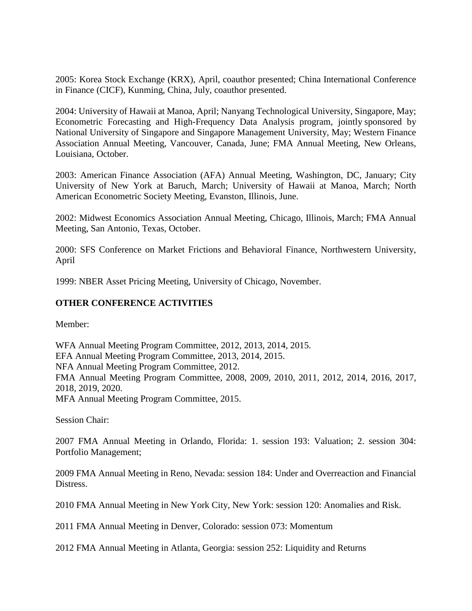2005: Korea Stock Exchange (KRX), April, coauthor presented; China International Conference in Finance (CICF), Kunming, China, July, coauthor presented.

2004: University of Hawaii at Manoa, April; Nanyang Technological University, Singapore, May; Econometric Forecasting and High-Frequency Data Analysis program, jointly sponsored by National University of Singapore and Singapore Management University, May; Western Finance Association Annual Meeting, Vancouver, Canada, June; FMA Annual Meeting, New Orleans, Louisiana, October.

2003: American Finance Association (AFA) Annual Meeting, Washington, DC, January; City University of New York at Baruch, March; University of Hawaii at Manoa, March; North American Econometric Society Meeting, Evanston, Illinois, June.

2002: Midwest Economics Association Annual Meeting, Chicago, Illinois, March; FMA Annual Meeting, San Antonio, Texas, October.

2000: SFS Conference on Market Frictions and Behavioral Finance, Northwestern University, April

1999: NBER Asset Pricing Meeting, University of Chicago, November.

# **OTHER CONFERENCE ACTIVITIES**

Member:

WFA Annual Meeting Program Committee, 2012, 2013, 2014, 2015. EFA Annual Meeting Program Committee, 2013, 2014, 2015. NFA Annual Meeting Program Committee, 2012. FMA Annual Meeting Program Committee, 2008, 2009, 2010, 2011, 2012, 2014, 2016, 2017, 2018, 2019, 2020. MFA Annual Meeting Program Committee, 2015.

Session Chair:

2007 FMA Annual Meeting in Orlando, Florida: 1. session 193: Valuation; 2. session 304: Portfolio Management;

2009 FMA Annual Meeting in Reno, Nevada: session 184: Under and Overreaction and Financial Distress.

2010 FMA Annual Meeting in New York City, New York: session 120: Anomalies and Risk.

2011 FMA Annual Meeting in Denver, Colorado: session 073: Momentum

2012 FMA Annual Meeting in Atlanta, Georgia: session 252: Liquidity and Returns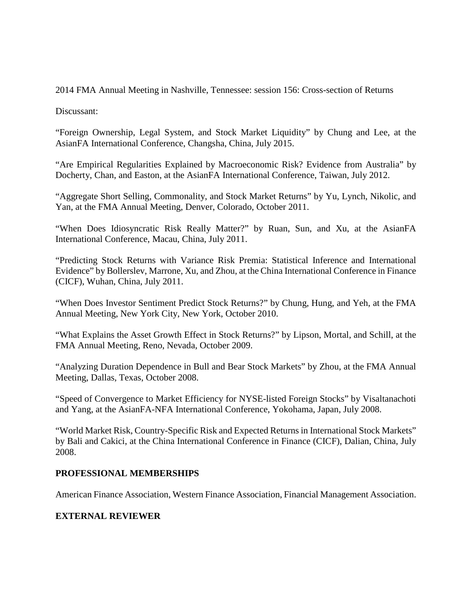2014 FMA Annual Meeting in Nashville, Tennessee: session 156: Cross-section of Returns

Discussant:

"Foreign Ownership, Legal System, and Stock Market Liquidity" by Chung and Lee, at the AsianFA International Conference, Changsha, China, July 2015.

"Are Empirical Regularities Explained by Macroeconomic Risk? Evidence from Australia" by Docherty, Chan, and Easton, at the AsianFA International Conference, Taiwan, July 2012.

"Aggregate Short Selling, Commonality, and Stock Market Returns" by Yu, Lynch, Nikolic, and Yan, at the FMA Annual Meeting, Denver, Colorado, October 2011.

"When Does Idiosyncratic Risk Really Matter?" by Ruan, Sun, and Xu, at the AsianFA International Conference, Macau, China, July 2011.

"Predicting Stock Returns with Variance Risk Premia: Statistical Inference and International Evidence" by Bollerslev, Marrone, Xu, and Zhou, at the China International Conference in Finance (CICF), Wuhan, China, July 2011.

"When Does Investor Sentiment Predict Stock Returns?" by Chung, Hung, and Yeh, at the FMA Annual Meeting, New York City, New York, October 2010.

"What Explains the Asset Growth Effect in Stock Returns?" by Lipson, Mortal, and Schill, at the FMA Annual Meeting, Reno, Nevada, October 2009.

"Analyzing Duration Dependence in Bull and Bear Stock Markets" by Zhou, at the FMA Annual Meeting, Dallas, Texas, October 2008.

"Speed of Convergence to Market Efficiency for NYSE-listed Foreign Stocks" by Visaltanachoti and Yang, at the AsianFA-NFA International Conference, Yokohama, Japan, July 2008.

"World Market Risk, Country-Specific Risk and Expected Returns in International Stock Markets" by Bali and Cakici, at the China International Conference in Finance (CICF), Dalian, China, July 2008.

#### **PROFESSIONAL MEMBERSHIPS**

American Finance Association, Western Finance Association, Financial Management Association.

## **EXTERNAL REVIEWER**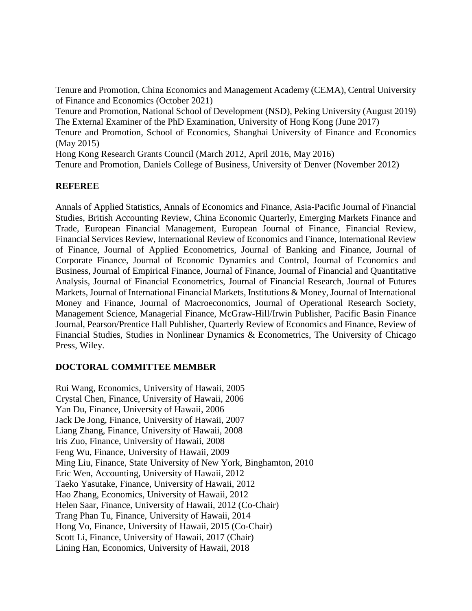Tenure and Promotion, China Economics and Management Academy (CEMA), Central University of Finance and Economics (October 2021)

Tenure and Promotion, National School of Development (NSD), Peking University (August 2019) The External Examiner of the PhD Examination, University of Hong Kong (June 2017)

Tenure and Promotion, School of Economics, Shanghai University of Finance and Economics (May 2015)

Hong Kong Research Grants Council (March 2012, April 2016, May 2016)

Tenure and Promotion, Daniels College of Business, University of Denver (November 2012)

#### **REFEREE**

Annals of Applied Statistics, Annals of Economics and Finance, Asia-Pacific Journal of Financial Studies, British Accounting Review, China Economic Quarterly, Emerging Markets Finance and Trade, European Financial Management, European Journal of Finance, Financial Review, Financial Services Review, International Review of Economics and Finance, International Review of Finance, Journal of Applied Econometrics, Journal of Banking and Finance, Journal of Corporate Finance, Journal of Economic Dynamics and Control, Journal of Economics and Business, Journal of Empirical Finance, Journal of Finance, Journal of Financial and Quantitative Analysis, Journal of Financial Econometrics, Journal of Financial Research, Journal of Futures Markets, Journal of International Financial Markets, Institutions & Money,Journal of International Money and Finance, Journal of Macroeconomics, Journal of Operational Research Society, Management Science, Managerial Finance, McGraw-Hill/Irwin Publisher, Pacific Basin Finance Journal, Pearson/Prentice Hall Publisher, Quarterly Review of Economics and Finance, Review of Financial Studies, Studies in Nonlinear Dynamics & Econometrics, The University of Chicago Press, Wiley.

## **DOCTORAL COMMITTEE MEMBER**

Rui Wang, Economics, University of Hawaii, 2005 Crystal Chen, Finance, University of Hawaii, 2006 Yan Du, Finance, University of Hawaii, 2006 Jack De Jong, Finance, University of Hawaii, 2007 Liang Zhang, Finance, University of Hawaii, 2008 Iris Zuo, Finance, University of Hawaii, 2008 Feng Wu, Finance, University of Hawaii, 2009 Ming Liu, Finance, State University of New York, Binghamton, 2010 Eric Wen, Accounting, University of Hawaii, 2012 Taeko Yasutake, Finance, University of Hawaii, 2012 Hao Zhang, Economics, University of Hawaii, 2012 Helen Saar, Finance, University of Hawaii, 2012 (Co-Chair) Trang Phan Tu, Finance, University of Hawaii, 2014 Hong Vo, Finance, University of Hawaii, 2015 (Co-Chair) Scott Li, Finance, University of Hawaii, 2017 (Chair) Lining Han, Economics, University of Hawaii, 2018